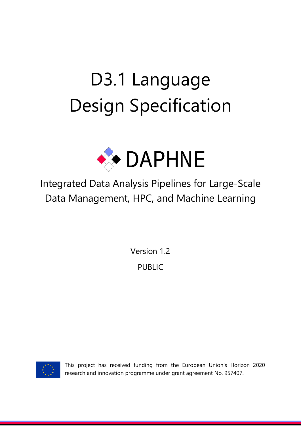# D3.1 Language Design Specification



Integrated Data Analysis Pipelines for Large-Scale Data Management, HPC, and Machine Learning

> Version 1.2 PUBLIC



This project has received funding from the European Union's Horizon 2020 research and innovation programme under grant agreement No. 957407.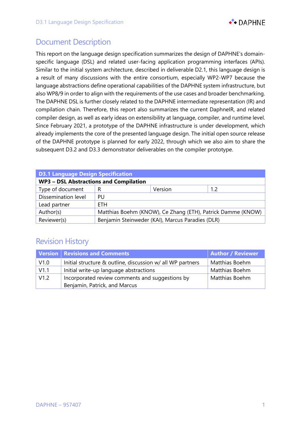

## Document Description

This report on the language design specification summarizes the design of DAPHNE's domainspecific language (DSL) and related user-facing application programming interfaces (APIs). Similar to the initial system architecture, described in deliverable D2.1, this language design is a result of many discussions with the entire consortium, especially WP2-WP7 because the language abstractions define operational capabilities of the DAPHNE system infrastructure, but also WP8/9 in order to align with the requirements of the use cases and broader benchmarking. The DAPHNE DSL is further closely related to the DAPHNE intermediate representation (IR) and compilation chain. Therefore, this report also summarizes the current DaphneIR, and related compiler design, as well as early ideas on extensibility at language, compiler, and runtime level. Since February 2021, a prototype of the DAPHNE infrastructure is under development, which already implements the core of the presented language design. The initial open source release of the DAPHNE prototype is planned for early 2022, through which we also aim to share the subsequent D3.2 and D3.3 demonstrator deliverables on the compiler prototype.

| <b>D3.1 Language Design Specification</b>     |                                                             |         |     |  |  |
|-----------------------------------------------|-------------------------------------------------------------|---------|-----|--|--|
| <b>WP3 - DSL Abstractions and Compilation</b> |                                                             |         |     |  |  |
| Type of document                              | R                                                           | Version | 1.2 |  |  |
| Dissemination level                           | PU                                                          |         |     |  |  |
| Lead partner                                  | <b>ETH</b>                                                  |         |     |  |  |
| Author(s)                                     | Matthias Boehm (KNOW), Ce Zhang (ETH), Patrick Damme (KNOW) |         |     |  |  |
| Reviewer(s)                                   | Benjamin Steinweder (KAI), Marcus Paradies (DLR)            |         |     |  |  |

## Revision History

|      | Version   Revisions and Comments                           | <b>Author / Reviewer</b> |
|------|------------------------------------------------------------|--------------------------|
| V1.0 | Initial structure & outline, discussion w/ all WP partners | Matthias Boehm           |
| V1.1 | Initial write-up language abstractions                     | Matthias Boehm           |
| V1.2 | Incorporated review comments and suggestions by            | Matthias Boehm           |
|      | Benjamin, Patrick, and Marcus                              |                          |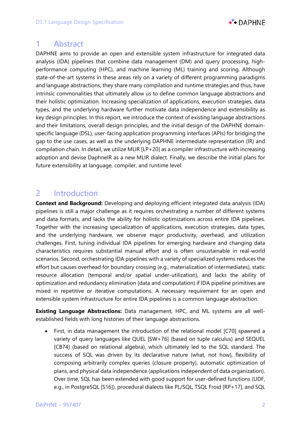

## 1 Abstract

DAPHNE aims to provide an open and extensible system infrastructure for integrated data analysis (IDA) pipelines that combine data management (DM) and query processing, highperformance computing (HPC), and machine learning (ML) training and scoring. Although state-of-the-art systems in these areas rely on a variety of different programming paradigms and language abstractions, they share many compilation and runtime strategies and thus, have intrinsic commonalities that ultimately allow us to define common language abstractions and their holistic optimization. Increasing specialization of applications, execution strategies, data types, and the underlying hardware further motivate data independence and extensibility as key design principles. In this report, we introduce the context of existing language abstractions and their limitations, overall design principles, and the initial design of the DAPHNE domainspecific language (DSL), user-facing application programming interfaces (APIs) for bridging the gap to the use cases, as well as the underlying DAPHNE intermediate representation (IR) and compilation chain. In detail, we utilize MLIR [LP+20] as a compiler infrastructure with increasing adoption and devise DaphneIR as a new MLIR dialect. Finally, we describe the initial plans for future extensibility at language, compiler, and runtime level.

## 2 Introduction

**Context and Background:** Developing and deploying efficient integrated data analysis (IDA) pipelines is still a major challenge as it requires orchestrating a number of different systems and data formats, and lacks the ability for holistic optimizations across entire IDA pipelines. Together with the increasing specialization of applications, execution strategies, data types, and the underlying hardware, we observe major productivity, overhead, and utilization challenges. First, tuning individual IDA pipelines for emerging hardware and changing data characteristics requires substantial manual effort and is often unsustainable in real-world scenarios. Second, orchestrating IDA pipelines with a variety of specialized systems reduces the effort but causes overhead for boundary crossing (e.g., materialization of intermediates), static resource allocation (temporal and/or spatial under-utilization), and lacks the ability of optimization and redundancy elimination (data and computation) if IDA pipeline primitives are mixed in repetitive or iterative computations. A necessary requirement for an open and extensible system infrastructure for entire IDA pipelines is a common language abstraction.

**Existing Language Abstractions:** Data management, HPC, and ML systems are all wellestablished fields with long histories of their language abstractions.

• First, in data management the introduction of the relational model [C70] spawned a variety of query languages like QUEL [SW+76] (based on tuple calculus) and SEQUEL [CB74] (based on relational algebra), which ultimately led to the SQL standard. The success of SQL was driven by its declarative nature (what, not how), flexibility of composing arbitrarily complex queries (closure property), automatic optimization of plans, and physical data independence (applications independent of data organization). Over time, SQL has been extended with good support for user-defined functions (UDF, e.g., in PostgreSQL [S16]), procedural dialects like PL/SQL, TSQL Froid [RP+17], and SQL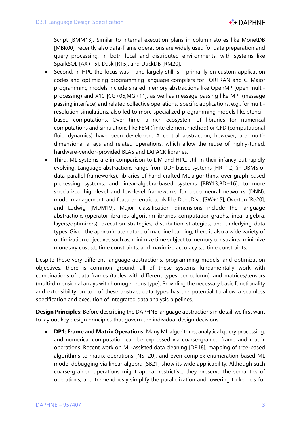

Script [BMM13]. Similar to internal execution plans in column stores like MonetDB [MBK00], recently also data-frame operations are widely used for data preparation and query processing, in both local and distributed environments, with systems like SparkSQL [AX+15], Dask [R15], and DuckDB [RM20].

- Second, in HPC the focus was and largely still is primarily on custom application codes and optimizing programming language compilers for FORTRAN and C. Major programming models include shared memory abstractions like OpenMP (open multiprocessing) and X10 [CG+05,MG+11], as well as message passing like MPI (message passing interface) and related collective operations. Specific applications, e.g., for multiresolution simulations, also led to more specialized programming models like stencilbased computations. Over time, a rich ecosystem of libraries for numerical computations and simulations like FEM (finite element method) or CFD (computational fluid dynamics) have been developed. A central abstraction, however, are multidimensional arrays and related operations, which allow the reuse of highly-tuned, hardware-vendor-provided BLAS and LAPACK libraries.
- Third, ML systems are in comparison to DM and HPC, still in their infancy but rapidly evolving. Language abstractions range from UDF-based systems [HR+12] (in DBMS or data-parallel frameworks), libraries of hand-crafted ML algorithms, over graph-based processing systems, and linear-algebra-based systems [BBY13,BD+16], to more specialized high-level and low-level frameworks for deep neural networks (DNN), model management, and feature-centric tools like DeepDive [SW+15], Overton [Re20], and Ludwig [MDM19]. Major classification dimensions include the language abstractions (operator libraries, algorithm libraries, computation graphs, linear algebra, layers/optimizers), execution strategies, distribution strategies, and underlying data types. Given the approximate nature of machine learning, there is also a wide variety of optimization objectives such as, minimize time subject to memory constraints, minimize monetary cost s.t. time constraints, and maximize accuracy s.t. time constraints.

Despite these very different language abstractions, programming models, and optimization objectives, there is common ground: all of these systems fundamentally work with combinations of data frames (tables with different types per column), and matrices/tensors (multi-dimensional arrays with homogeneous type). Providing the necessary basic functionality and extensibility on top of these abstract data types has the potential to allow a seamless specification and execution of integrated data analysis pipelines.

**Design Principles:** Before describing the DAPHNE language abstractions in detail, we first want to lay out key design principles that govern the individual design decisions:

• **DP1: Frame and Matrix Operations:** Many ML algorithms, analytical query processing, and numerical computation can be expressed via coarse-grained frame and matrix operations. Recent work on ML-assisted data cleaning [DR18], mapping of tree-based algorithms to matrix operations [NS+20], and even complex enumeration-based ML model debugging via linear algebra [SB21] show its wide applicability. Although such coarse-grained operations might appear restrictive, they preserve the semantics of operations, and tremendously simplify the parallelization and lowering to kernels for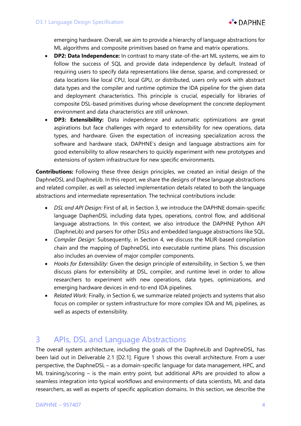emerging hardware. Overall, we aim to provide a hierarchy of language abstractions for ML algorithms and composite primitives based on frame and matrix operations.

- **DP2: Data Independence:** In contrast to many state-of-the-art ML systems, we aim to follow the success of SQL and provide data independence by default. Instead of requiring users to specify data representations like dense, sparse, and compressed; or data locations like local CPU, local GPU, or distributed, users only work with abstract data types and the compiler and runtime optimize the IDA pipeline for the given data and deployment characteristics. This principle is crucial, especially for libraries of composite DSL-based primitives during whose development the concrete deployment environment and data characteristics are still unknown.
- **DP3: Extensibility:** Data independence and automatic optimizations are great aspirations but face challenges with regard to extensibility for new operations, data types, and hardware. Given the expectation of increasing specialization across the software and hardware stack, DAPHNE's design and language abstractions aim for good extensibility to allow researchers to quickly experiment with new prototypes and extensions of system infrastructure for new specific environments.

**Contributions:** Following these three design principles, we created an initial design of the DaphneDSL and DaphneLib. In this report, we share the designs of these language abstractions and related compiler, as well as selected implementation details related to both the language abstractions and intermediate representation. The technical contributions include:

- *DSL and API Design:* First of all, in Section 3, we introduce the DAPHNE domain-specific language DaphenDSL including data types, operations, control flow, and additional language abstractions. In this context, we also introduce the DAPHNE Python API (DaphneLib) and parsers for other DSLs and embedded language abstractions like SQL.
- *Compiler Design:* Subsequently, in Section 4, we discuss the MLIR-based compilation chain and the mapping of DaphneDSL into executable runtime plans. This discussion also includes an overview of major compiler components.
- *Hooks for Extensibility:* Given the design principle of extensibility, in Section 5, we then discuss plans for extensibility at DSL, compiler, and runtime level in order to allow researchers to experiment with new operations, data types, optimizations, and emerging hardware devices in end-to-end IDA pipelines.
- *Related Work:* Finally, in Section 6, we summarize related projects and systems that also focus on compiler or system infrastructure for more complex IDA and ML pipelines, as well as aspects of extensibility.

# 3 APIs, DSL and Language Abstractions

The overall system architecture, including the goals of the DaphneLib and DaphneDSL, has been laid out in Deliverable 2.1 [D2.1]. Figure 1 shows this overall architecture. From a user perspective, the DaphneDSL – as a domain-specific language for data management, HPC, and ML training/scoring – is the main entry point, but additional APIs are provided to allow a seamless integration into typical workflows and environments of data scientists, ML and data researchers, as well as experts of specific application domains. In this section, we describe the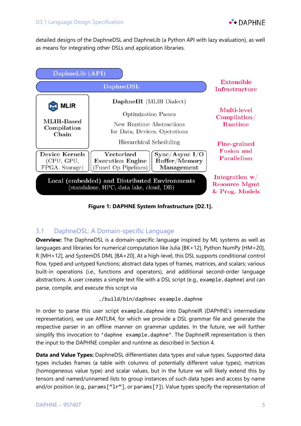

detailed designs of the DaphneDSL and DaphneLib (a Python API with lazy evaluation), as well as means for integrating other DSLs and application libraries.

| DaphneLib (API)                                                                          |                                                                                                                                                                             |                                                  |  |
|------------------------------------------------------------------------------------------|-----------------------------------------------------------------------------------------------------------------------------------------------------------------------------|--------------------------------------------------|--|
|                                                                                          | Extensible<br>Infrastructure                                                                                                                                                |                                                  |  |
| <b>MLIR</b><br>MLIR-Based<br>Compilation<br>Chain                                        | DaphneIR (MLIR Dialect)<br><b>Optimization Passes</b><br>New Runtime Abstractions<br>for Data, Devices, Operations                                                          | Multi-level<br>Compilation/<br><b>Runtime</b>    |  |
| <b>Device Kernels</b><br>(CPU, GPU,<br>FPGA, Storage)                                    | Hierarchical Scheduling<br>Vectorized<br>$\operatorname{Sync}/\operatorname{Async}$ $I/O$<br>Buffer/Memory<br><b>Execution Engine</b><br>(Fused Op Pipelines)<br>Management | Fine-grained<br><b>Fusion and</b><br>Parallelism |  |
| Local (embedded) and Distributed Environments<br>(standalone, HPC, data lake, cloud, DB) | Integration $w/$<br><b>Resource Mgmt</b><br>& Prog. Models                                                                                                                  |                                                  |  |

**Figure 1: DAPHNE System Infrastructure [D2.1].**

#### 3.1 DaphneDSL: A Domain-specific Language

**Overview:** The DaphneDSL is a domain-specific language inspired by ML systems as well as languages and libraries for numerical computation like Julia [BK+12], Python NumPy [HM+20], R [MH+12], and SystemDS DML [BA+20]. At a high-level, this DSL supports conditional control flow, typed and untyped functions; abstract data types of frames, matrices, and scalars; various built-in operations (i.e., functions and operators), and additional second-order language abstractions. A user creates a simple text file with a DSL script (e.g., example.daphne) and can parse, compile, and execute this script via

./build/bin/daphnec example.daphne

In order to parse this user script example.daphne into DaphneIR (DAPHNE's intermediate representation), we use ANTLR4, for which we provide a DSL grammar file and generate the respective parser in an offline manner on grammar updates. In the future, we will further simplify this invocation to 'daphne example.daphne'. The DaphneIR representation is then the input to the DAPHNE compiler and runtime as described in Section 4.

**Data and Value Types:** DaphneDSL differentiates data types and value types. Supported data types includes frames (a table with columns of potentially different value types), matrices (homogeneous value type) and scalar values, but in the future we will likely extend this by tensors and named/unnamed lists to group instances of such data types and access by name and/or position (e.g., params ["1r"], or params [7]). Value types specify the representation of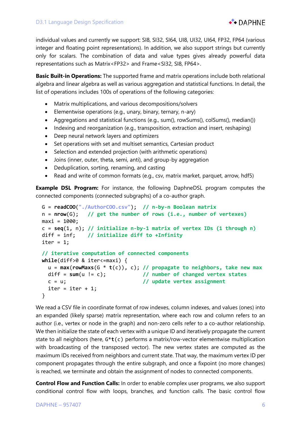

individual values and currently we support: SI8, SI32, SI64, UI8, UI32, UI64, FP32, FP64 (various integer and floating point representations). In addition, we also support strings but currently only for scalars. The combination of data and value types gives already powerful data representations such as Matrix<FP32> and Frame<SI32, SI8, FP64>.

**Basic Built-in Operations:** The supported frame and matrix operations include both relational algebra and linear algebra as well as various aggregation and statistical functions. In detail, the list of operations includes 100s of operations of the following categories:

- Matrix multiplications, and various decompositions/solvers
- Elementwise operations (e.g., unary, binary, ternary, n-ary)
- Aggregations and statistical functions (e.g., sum(), rowSums(), colSums(), median())
- Indexing and reorganization (e.g., transposition, extraction and insert, reshaping)
- Deep neural network layers and optimizers
- Set operations with set and multiset semantics, Cartesian product
- Selection and extended projection (with arithmetic operations)
- Joins (inner, outer, theta, semi, anti), and group-by aggregation
- Deduplication, sorting, renaming, and casting
- Read and write of common formats (e.g., csv, matrix market, parquet, arrow, hdf5)

**Example DSL Program:** For instance, the following DaphneDSL program computes the connected components (connected subgraphs) of a co-author graph.

```
 G = readCOO("./AuthorCOO.csv"); // n-by-n Boolean matrix
 n = nrow(G); // get the number of rows (i.e., number of vertexes)
maxi = 1000;
c = \text{seq}(1, n); // initialize n-by-1 matrix of vertex IDs (1 + \text{through } n) diff = inf; // initialize diff to +Infinity
iter = 1:
 // iterative computation of connected components
 while(diff>0 & iter<=maxi) {
   u = max(rowMaxs(G * t(c)), c); // propagate to neighbors, take new max
  diff = sum(u != c); // number of changed vertex states
  c = u; // update vertex assignment
  iter = iter + 1; }
```
We read a CSV file in coordinate format of row indexes, column indexes, and values (ones) into an expanded (likely sparse) matrix representation, where each row and column refers to an author (i.e., vertex or node in the graph) and non-zero cells refer to a co-author relationship. We then initialize the state of each vertex with a unique ID and iteratively propagate the current state to all neighbors (here, G\***t**(c) performs a matrix/row-vector elementwise multiplication with broadcasting of the transposed vector). The new vertex states are computed as the maximum IDs received from neighbors and current state. That way, the maximum vertex ID per component propagates through the entire subgraph, and once a fixpoint (no more changes) is reached, we terminate and obtain the assignment of nodes to connected components.

**Control Flow and Function Calls:** In order to enable complex user programs, we also support conditional control flow with loops, branches, and function calls. The basic control flow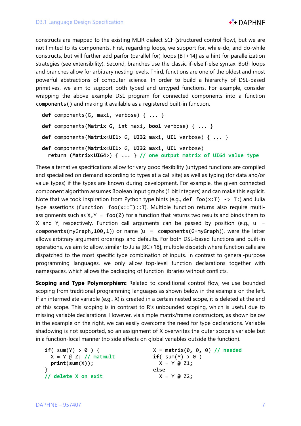

constructs are mapped to the existing MLIR dialect SCF (structured control flow), but we are not limited to its components. First, regarding loops, we support for, while-do, and do-while constructs, but will further add parfor (parallel for) loops [BT+14] as a hint for parallelization strategies (see extensibility). Second, branches use the classic if-elseif-else syntax. Both loops and branches allow for arbitrary nesting levels. Third, functions are one of the oldest and most powerful abstractions of computer science. In order to build a hierarchy of DSL-based primitives, we aim to support both typed and untyped functions. For example, consider wrapping the above example DSL program for connected components into a function components() and making it available as a registered built-in function.

```
 def components(G, maxi, verbose) { ... }
 def components(Matrix G, int maxi, bool verbose) { ... }
 def components(Matrix<UI1> G, UI32 maxi, UI1 verbose) { ... }
 def components(Matrix<UI1> G, UI32 maxi, UI1 verbose) 
   return (Matrix<UI64>) { ... } // one output matrix of UI64 value type
```
These alternative specifications allow for very good flexibility (untyped functions are compiled and specialized on demand according to types at a call site) as well as typing (for data and/or value types) if the types are known during development. For example, the given connected component algorithm assumes Boolean input graphs (1 bit integers) and can make this explicit. Note that we took inspiration from Python type hints (e.g., def foo( $x:T$ ) -> T:) and Julia type assertions (function  $foo(x::T):T)$ . Multiple function returns also require multiassignments such as  $X, Y = foo(Z)$  for a function that returns two results and binds them to X and Y, respectively. Function call arguments can be passed by position (e.g.,  $u =$ components(myGraph,100,1)) or name ( $u =$  components(G=myGraph)), were the latter allows arbitrary argument orderings and defaults. For both DSL-based functions and built-in operations, we aim to allow, similar to Julia [BC+18], multiple dispatch where function calls are dispatched to the most specific type combination of inputs. In contrast to general-purpose programming languages, we only allow top-level function declarations together with namespaces, which allows the packaging of function libraries without conflicts.

**Scoping and Type Polymorphism:** Related to conditional control flow, we use bounded scoping from traditional programming languages as shown below in the example on the left. If an intermediate variable (e.g., X) is created in a certain nested scope, it is deleted at the end of this scope. This scoping is in contrast to R's unbounded scoping, which is useful due to missing variable declarations. However, via simple matrix/frame constructors, as shown below in the example on the right, we can easily overcome the need for type declarations. Variable shadowing is not supported, so an assignment of X overwrites the outer scope's variable but in a function-local manner (no side effects on global variables outside the function).

```
if('sum(Y) > 0 ) X = Y @ Z; // matmult
   print(sum(X));
 } 
 // delete X on exit
                                      X = matrix(0, 0, 0) // needed
                                      if('sum(Y) > 0)X = Y \omega Z1;else
                                        X = Y \text{ @ } Z2;
```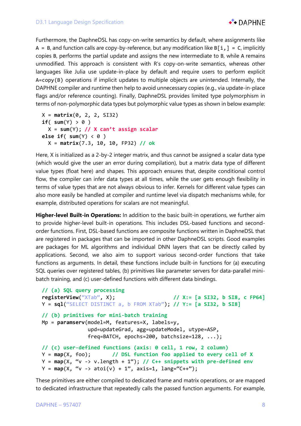

Furthermore, the DaphneDSL has copy-on-write semantics by default, where assignments like  $A = B$ , and function calls are copy-by-reference, but any modification like  $B[i, ] = C$ , implicitly copies B, performs the partial update and assigns the new intermediate to B, while A remains unmodified. This approach is consistent with R's copy-on-write semantics, whereas other languages like Julia use update-in-place by default and require users to perform explicit A=copy(B) operations if implicit updates to multiple objects are unintended. Internally, the DAPHNE compiler and runtime then help to avoid unnecessary copies (e.g., via update-in-place flags and/or reference counting). Finally, DaphneDSL provides limited type polymorphism in terms of non-polymorphic data types but polymorphic value types as shown in below example:

```
 X = matrix(0, 2, 2, SI32)
if('sum(Y) > 0') X = sum(Y); // X can't assign scalar
else if( sum(Y) < 0 )
   X = matrix(7.3, 10, 10, FP32) // ok
```
Here, X is initialized as a 2-by-2 integer matrix, and thus cannot be assigned a scalar data type (which would give the user an error during compilation), but a matrix data type of different value types (float here) and shapes. This approach ensures that, despite conditional control flow, the compiler can infer data types at all times, while the user gets enough flexibility in terms of value types that are not always obvious to infer. Kernels for different value types can also more easily be handled at compiler and runtime level via dispatch mechanisms while, for example, distributed operations for scalars are not meaningful.

**Higher-level Built-in Operations:** In addition to the basic built-in operations, we further aim to provide higher-level built-in operations. This includes DSL-based functions and secondorder functions. First, DSL-based functions are composite functions written in DaphneDSL that are registered in packages that can be imported in other DaphneDSL scripts. Good examples are packages for ML algorithms and individual DNN layers that can be directly called by applications. Second, we also aim to support various second-order functions that take functions as arguments. In detail, these functions include built-in functions for (a) executing SQL queries over registered tables, (b) primitives like parameter servers for data-parallel minibatch training, and (c) user-defined functions with different data bindings.

```
 // (a) SQL query processing
 registerView("XTab", X); // X:= [a SI32, b SI8, c FP64]
 Y = sql("SELECT DISTINCT a, b FROM XTab"); // Y:= [a SI32, b SI8]
 // (b) primitives for mini-batch training
 Mp = paramserv(model=M, features=X, labels=y,
                upd=updateGrad, agg=updateModel, utype=ASP,
                freq=BATCH, epochs=200, batchsize=128, ...);
 // (c) user-defined functions (axis: 0 cell, 1 row, 2 column)
 Y = map(X, foo); // DSL function foo applied to every cell of X
 Y = map(X, "v -> v.length + 1"); // C++ snippets with pre-defined env
Y = \text{map}(X, "v \rightarrow \text{atoi}(v) + 1", \text{ axis=1, } \text{lang} = "C++");
```
These primitives are either compiled to dedicated frame and matrix operations, or are mapped to dedicated infrastructure that repeatedly calls the passed function arguments. For example,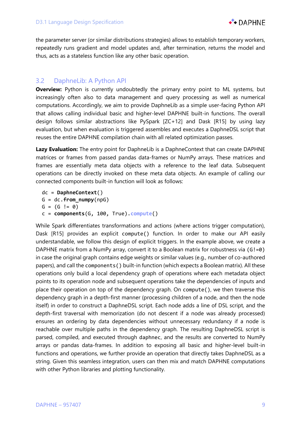

the parameter server (or similar distributions strategies) allows to establish temporary workers, repeatedly runs gradient and model updates and, after termination, returns the model and thus, acts as a stateless function like any other basic operation.

#### 3.2 DaphneLib: A Python API

**Overview:** Python is currently undoubtedly the primary entry point to ML systems, but increasingly often also to data management and query processing as well as numerical computations. Accordingly, we aim to provide DaphneLib as a simple user-facing Python API that allows calling individual basic and higher-level DAPHNE built-in functions. The overall design follows similar abstractions like PySpark [ZC+12] and Dask [R15] by using lazy evaluation, but when evaluation is triggered assembles and executes a DaphneDSL script that reuses the entire DAPHNE compilation chain with all related optimization passes.

**Lazy Evaluation:** The entry point for DaphneLib is a DaphneContext that can create DAPHNE matrices or frames from passed pandas data-frames or NumPy arrays. These matrices and frames are essentially meta data objects with a reference to the leaf data. Subsequent operations can be directly invoked on these meta data objects. An example of calling our connected components built-in function will look as follows:

 dc = **DaphneContext**() G = dc.**from\_numpy**(npG)  $G = (G != 0)$ c = **components**(G, 100, True).**compute**()

While Spark differentiates transformations and actions (where actions trigger computation), Dask [R15] provides an explicit compute() function. In order to make our API easily understandable, we follow this design of explicit triggers. In the example above, we create a DAPHNE matrix from a NumPy array, convert it to a Boolean matrix for robustness via (G!=0) in case the original graph contains edge weights or similar values (e.g., number of co-authored papers), and call the components() built-in function (which expects a Boolean matrix). All these operations only build a local dependency graph of operations where each metadata object points to its operation node and subsequent operations take the dependencies of inputs and place their operation on top of the dependency graph. On compute(), we then traverse this dependency graph in a depth-first manner (processing children of a node, and then the node itself) in order to construct a DaphneDSL script. Each node adds a line of DSL script, and the depth-first traversal with memorization (do not descent if a node was already processed) ensures an ordering by data dependencies without unnecessary redundancy if a node is reachable over multiple paths in the dependency graph. The resulting DaphneDSL script is parsed, compiled, and executed through daphnec, and the results are converted to NumPy arrays or pandas data-frames. In addition to exposing all basic and higher-level built-in functions and operations, we further provide an operation that directly takes DaphneDSL as a string. Given this seamless integration, users can then mix and match DAPHNE computations with other Python libraries and plotting functionality.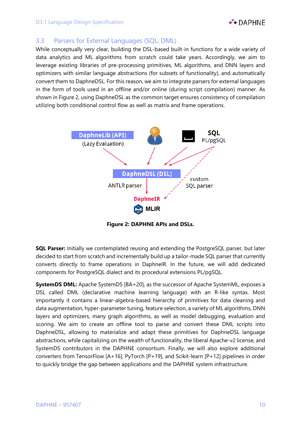

#### 3.3 Parsers for External Languages (SQL, DML)

While conceptually very clear, building the DSL-based built-in functions for a wide variety of data analytics and ML algorithms from scratch could take years. Accordingly, we aim to leverage existing libraries of pre-processing primitives, ML algorithms, and DNN layers and optimizers with similar language abstractions (for subsets of functionality), and automatically convert them to DaphneDSL. For this reason, we aim to integrate parsers for external languages in the form of tools used in an offline and/or online (during script compilation) manner. As shown in Figure 2, using DaphneDSL as the common target ensures consistency of compilation utilizing both conditional control flow as well as matrix and frame operations.



**Figure 2: DAPHNE APIs and DSLs.**

**SQL Parser:** Initially we contemplated reusing and extending the PostgreSQL parser, but later decided to start from scratch and incrementally build up a tailor-made SQL parser that currently converts directly to frame operations in DaphneIR. In the future, we will add dedicated components for PostgreSQL dialect and its procedural extensions PL/pgSQL.

**SystemDS DML:** Apache SystemDS [BA+20], as the successor of Apache SystemML, exposes a DSL called DML (declarative machine learning language) with an R-like syntax. Most importantly it contains a linear-algebra-based hierarchy of primitives for data cleaning and data augmentation, hyper-parameter tuning, feature selection, a variety of ML algorithms, DNN layers and optimizers, many graph algorithms, as well as model debugging, evaluation and scoring. We aim to create an offline tool to parse and convert these DML scripts into DaphneDSL, allowing to materialize and adapt these primitives for DaphneDSL language abstractions, while capitalizing on the wealth of functionality, the liberal Apache-v2 license, and SystemDS contributors in the DAPHNE consortium. Finally, we will also explore additional converters from TensorFlow [A+16], PyTorch [P+19], and Scikit-learn [P+12] pipelines in order to quickly bridge the gap between applications and the DAPHNE system infrastructure.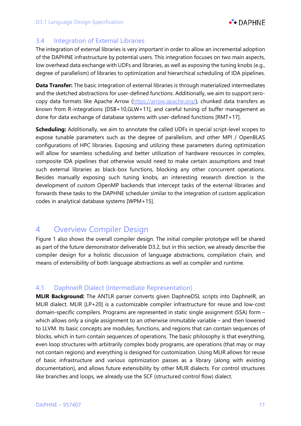

### 3.4 Integration of External Libraries

The integration of external libraries is very important in order to allow an incremental adoption of the DAPHNE infrastructure by potential users. This integration focuses on two main aspects, low overhead data exchange with UDFs and libraries, as well as exposing the tuning knobs (e.g., degree of parallelism) of libraries to optimization and hierarchical scheduling of IDA pipelines.

**Data Transfer:** The basic integration of external libraries is through materialized intermediates and the sketched abstractions for user-defined functions. Additionally, we aim to support zerocopy data formats like Apache Arrow (https://arrow.apache.org/), chunked data transfers as known from R-integrations [DSB+10,GLW+11], and careful tuning of buffer management as done for data exchange of database systems with user-defined functions [RMT+17].

**Scheduling:** Additionally, we aim to annotate the called UDFs in special script-level scopes to expose tunable parameters such as the degree of parallelism, and other MPI / OpenBLAS configurations of HPC libraries. Exposing and utilizing these parameters during optimization will allow for seamless scheduling and better utilization of hardware resources in complex, composite IDA pipelines that otherwise would need to make certain assumptions and treat such external libraries as black-box functions, blocking any other concurrent operations. Besides manually exposing such tuning knobs, an interesting research direction is the development of custom OpenMP backends that intercept tasks of the external libraries and forwards these tasks to the DAPHNE scheduler similar to the integration of custom application codes in analytical database systems [WPM+15].

## 4 Overview Compiler Design

Figure 1 also shows the overall compiler design. The initial compiler prototype will be shared as part of the future demonstrator deliverable D3.2, but in this section, we already describe the compiler design for a holistic discussion of language abstractions, compilation chain, and means of extensibility of both language abstractions as well as compiler and runtime.

#### 4.1 DaphneIR Dialect (Intermediate Representation)

**MLIR Background:** The ANTLR parser converts given DaphneDSL scripts into DaphneIR, an MLIR dialect. MLIR [LP+20] is a customizable compiler infrastructure for reuse and low-cost domain-specific compilers. Programs are represented in static single assignment (SSA) form – which allows only a single assignment to an otherwise immutable variable – and then lowered to LLVM. Its basic concepts are modules, functions, and regions that can contain sequences of blocks, which in turn contain sequences of operations. The basic philosophy is that everything, even loop structures with arbitrarily complex body programs, are operations (that may or may not contain regions) and everything is designed for customization. Using MLIR allows for reuse of basic infrastructure and various optimization passes as a library (along with existing documentation), and allows future extensibility by other MLIR dialects. For control structures like branches and loops, we already use the SCF (structured control flow) dialect.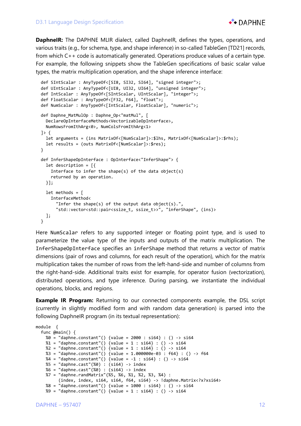

**DaphneIR:** The DAPHNE MLIR dialect, called DaphneIR, defines the types, operations, and various traits (e.g., for schema, type, and shape inference) in so-called TableGen [TD21] records, from which C++ code is automatically generated. Operations produce values of a certain type. For example, the following snippets show the TableGen specifications of basic scalar value types, the matrix multiplication operation, and the shape inference interface:

```
 def SIntScalar : AnyTypeOf<[SI8, SI32, SI64], "signed integer">;
 def UIntScalar : AnyTypeOf<[UI8, UI32, UI64], "unsigned integer">;
 def IntScalar : AnyTypeOf<[SIntScalar, UIntScalar], "integer">;
 def FloatScalar : AnyTypeOf<[F32, F64], "float">;
 def NumScalar : AnyTypeOf<[IntScalar, FloatScalar], "numeric">;
 def Daphne_MatMulOp : Daphne_Op<"matMul", [
   DeclareOpInterfaceMethods<VectorizableOpInterface>, 
   NumRowsFromIthArg<0>, NumColsFromIthArg<1>
 ]> {
   let arguments = (ins MatrixOf<[NumScalar]>:$lhs, MatrixOf<[NumScalar]>:$rhs);
   let results = (outs MatrixOf<[NumScalar]>:$res);
 }
 def InferShapeOpInterface : OpInterface<"InferShape"> {
   let description = [{
     Interface to infer the shape(s) of the data object(s)
     returned by an operation.
   }];
   let methods = [
     InterfaceMethod<
       "Infer the shape(s) of the output data object(s).",
       "std::vector<std::pair<ssize_t, ssize_t>>", "inferShape", (ins)>
   ];
 }
```
Here NumScalar refers to any supported integer or floating point type, and is used to parameterize the value type of the inputs and outputs of the matrix multiplication. The InferShapeOpInterface specifies an inferShape method that returns a vector of matrix dimensions (pair of rows and columns, for each result of the operation), which for the matrix multiplication takes the number of rows from the left-hand-side and number of columns from the right-hand-side. Additional traits exist for example, for operator fusion (vectorization), distributed operations, and type inference. During parsing, we instantiate the individual operations, blocks, and regions.

**Example IR Program:** Returning to our connected components example, the DSL script (currently in slightly modified form and with random data generation) is parsed into the following DaphneIR program (in its textual representation):

```
module {
   func @main() {
     %0 = "daphne.constant"() {value = 2000 : si64} : () -> si64
    %1 = "daphne.constant"() {value = 1 : si64} : () -> si64
    %2 = "daphne.constant"() {value = 1 : si64} : () -> si64
     %3 = "daphne.constant"() {value = 1.000000e-03 : f64} : () -> f64
    %4 = "daphne.constant"() {value = -1 : si64} : () - > si64
     %5 = "daphne.cast"(%0) : (si64) -> index
     %6 = "daphne.cast"(%0) : (si64) -> index
     %7 = "daphne.randMatrix"(%5, %6, %1, %2, %3, %4) : 
          (index, index, si64, si64, f64, si64) -> !daphne.Matrix<?x?xsi64>
     %8 = "daphne.constant"() {value = 1000 : si64} : () -> si64
    %9 = "daphne.constant"() {value = 1 : si64} : () -> si64
```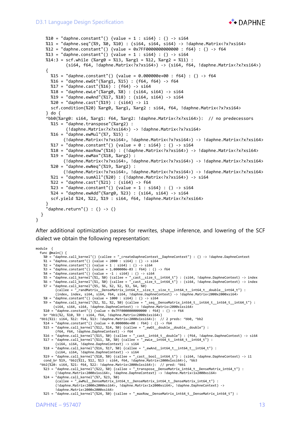

```
 %10 = "daphne.constant"() {value = 1 : si64} : () -> si64
    %11 = "daphne.seq"(%9, %0, %10) : (si64, si64, si64) -> !daphne.Matrix<?x?xsi64>
   %12 = "daphne.contrib('') {value = 0x7FF00000000000000 : f64} : () -> f64 %13 = "daphne.constant"() {value = 1 : si64} : () -> si64
    %14:3 = scf.while (%arg0 = %13, %arg1 = %12, %arg2 = %11) : 
            (si64, f64, !daphne.Matrix?x?xsi64) -> (si64, f64, !daphne.Matrix?x?xsi64 {
      %15 = "daphne.constant"() {value = 0.000000e+00 : f64} : () -> f64
      %16 = "daphne.ewGt"(%arg1, %15) : (f64, f64) -> f64
      %17 = "daphne.cast"(%16) : (f64) -> si64
      %18 = "daphne.ewLe"(%arg0, %8) : (si64, si64) -> si64
      %19 = "daphne.ewAnd"(%17, %18) : (si64, si64) -> si64
      %20 = "daphne.cast"(%19) : (si64) -> i1
      scf.condition(%20) %arg0, %arg1, %arg2 : si64, f64, !daphne.Matrix<?x?xsi64>
    } do {
     ^bb0(%arg0: si64, %arg1: f64, %arg2: !daphne.Matrix<?x?xsi64>): // no predecessors
      %15 = "daphne.transpose"(%arg2) : 
             (!daphne.Matrix<?x?xsi64>) -> !daphne.Matrix<?x?xsi64>
      %16 = "daphne.ewMul"(%7, %15) : 
            (!daphne.Matrix<?x?xsi64>, !daphne.Matrix<?x?xsi64>) -> !daphne.Matrix<?x?xsi64>
     %17 = "daphne.constant"() {value = 0 : si64} : () -> si64
      %18 = "daphne.maxRow"(%16) : (!daphne.Matrix<?x?xsi64>) -> !daphne.Matrix<?x?xsi64>
      %19 = "daphne.ewMax"(%18, %arg2) : 
            (!daphne.Matrix<?x?xsi64>, !daphne.Matrix<?x?xsi64>) -> !daphne.Matrix<?x?xsi64>
      %20 = "daphne.ewNeq"(%19, %arg2) : 
            (!daphne.Matrix<?x?xsi64>, !daphne.Matrix<?x?xsi64>) -> !daphne.Matrix<?x?xsi64>
      %21 = "daphne.sumAll"(%20) : (!daphne.Matrix<?x?xsi64>) -> si64
      %22 = "daphne.cast"(%21) : (si64) -> f64
     %23 = "daphne.constant"() {value = 1 : si64} : () -> si64
      %24 = "daphne.ewAdd"(%arg0, %23) : (si64, si64) -> si64
      scf.yield %24, %22, %19 : si64, f64, !daphne.Matrix<?x?xsi64>
 }
    "daphne.return"() : () \rightarrow () }
```
After additional optimization passes for rewrites, shape inference, and lowering of the SCF dialect we obtain the following representation:

```
module {
   func @main() {
    %0 = "daphne.call_kernel"() {callee = "_createDaphneContext__DaphneContext"} : () -> !daphne.DaphneContext
 %1 = "daphne.constant"() {value = 2000 : si64} : () -> si64
 %2 = "daphne.constant"() {value = 1 : si64} : () -> si64
 %3 = "daphne.constant"() {value = 1.000000e-03 : f64} : () -> f64
 %4 = "daphne.constant"() {value = -1 : si64} : () -> si64
 %5 = "daphne.call_kernel"(%1, %0) {callee = "_cast__size_t__int64_t"} : (si64, !daphne.DaphneContext) -> index
 %6 = "daphne.call_kernel"(%1, %0) {callee = "_cast__size_t__int64_t"} : (si64, !daphne.DaphneContext) -> index
 %7 = "daphne.call_kernel"(%5, %6, %2, %2, %3, %4, %0) 
 {callee = "_randMatrix__DenseMatrix_int64_t__size_t__size_t__int64_t__int64_t__double__int64_t"} : 
 (index, index, si64, si64, f64, si64, !daphne.DaphneContext) -> !daphne.Matrix<2000x2000xsi64>
 %8 = "daphne.constant"() {value = 1000 : si64} : () -> si64
 %9 = "daphne.call_kernel"(%2, %1, %2, %0) {callee = "_seq__DenseMatrix_int64_t__int64_t__int64_t__int64_t"} :
         (si64, si64, si64, !daphne.DaphneContext) -> !daphne.Matrix<2000x1xsi64>
 %10 = "daphne.constant"() {value = 0x7FF0000000000000 : f64} : () -> f64
 br ^bb1(%2, %10, %9 : si64, f64, !daphne.Matrix<2000x1xsi64>)
 ^bb1(%11: si64, %12: f64, %13: !daphne.Matrix<2000x1xsi64>): // 2 preds: ^bb0, ^bb2
 %14 = "daphne.constant"() {value = 0.000000e+00 : f64} : () -> f64
 %15 = "daphne.call_kernel"(%12, %14, %0) {callee = "_ewGt__double__double__double"} : 
 (f64, f64, !daphne.DaphneContext) -> f64
 %16 = "daphne.call_kernel"(%15, %0) {callee = "_cast__int64_t__double"} : (f64, !daphne.DaphneContext) -> si64
 %17 = "daphne.call_kernel"(%11, %8, %0) {callee = "_ewLe__int64_t__int64_t__int64_t"} : 
 (si64, si64, !daphne.DaphneContext) -> si64
 %18 = "daphne.call_kernel"(%16, %17, %0) {callee = "_ewAnd__int64_t__int64_t__int64_t"} : 
 (si64, si64, !daphne.DaphneContext) -> si64
 %19 = "daphne.call_kernel"(%18, %0) {callee = "_cast__bool__int64_t"} : (si64, !daphne.DaphneContext) -> i1
   cond_br %19, ^bb2(%11, %12, %13 : si64, f64, !daphne.Matrix<2000x1xsi64>), ^bb3
   ^bb2(%20: si64, %21: f64, %22: !daphne.Matrix<2000x1xsi64>): // pred: ^bb1
    %23 = "daphne.call_kernel"(%22, %0) {callee = "_transpose__DenseMatrix_int64_t__DenseMatrix_int64_t"} : 
 (!daphne.Matrix<2000x1xsi64>, !daphne.DaphneContext) -> !daphne.Matrix<1x2000xsi64>
 %24 = "daphne.call_kernel"(%7, %23, %0) 
          {callee = "_ewMul__DenseMatrix_int64_t__DenseMatrix_int64_t__DenseMatrix_int64_t"} : 
          (!daphne.Matrix<2000x2000xsi64>, !daphne.Matrix<1x2000xsi64>, !daphne.DaphneContext) -> 
           !daphne.Matrix<2000x2000xsi64>
    %25 = "daphne.call_kernel"(%24, %0) {callee = "_maxRow__DenseMatrix_int64_t__DenseMatrix_int64_t"} :
```
}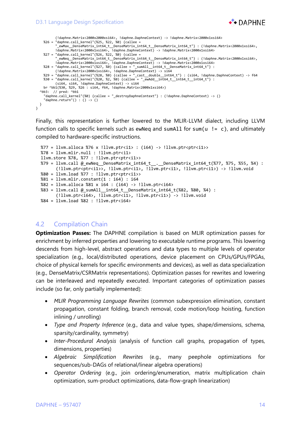#### D3.1 Language Design Specification



```
 (!daphne.Matrix<2000x2000xsi64>, !daphne.DaphneContext) -> !daphne.Matrix<2000x1xsi64>
 %26 = "daphne.call_kernel"(%25, %22, %0) {callee = 
           "_ewMax__DenseMatrix_int64_t__DenseMatrix_int64_t__DenseMatrix_int64_t"} : (!daphne.Matrix<2000x1xsi64>, 
          !daphne.Matrix<2000x1xsi64>, !daphne.DaphneContext) -> !daphne.Matrix<2000x1xsi64>
 %27 = "daphne.call_kernel"(%26, %22, %0) {callee = 
 "_ewNeq__DenseMatrix_int64_t__DenseMatrix_int64_t__DenseMatrix_int64_t"} : (!daphne.Matrix<2000x1xsi64>, 
 !daphne.Matrix<2000x1xsi64>, !daphne.DaphneContext) -> !daphne.Matrix<2000x1xsi64>
 %28 = "daphne.call_kernel"(%27, %0) {callee = "_sumAll__int64_t__DenseMatrix_int64_t"} : 
 (!daphne.Matrix<2000x1xsi64>, !daphne.DaphneContext) -> si64
 %29 = "daphne.call_kernel"(%28, %0) {callee = "_cast__double__int64_t"} : (si64, !daphne.DaphneContext) -> f64
 %30 = "daphne.call_kernel"(%20, %2, %0) {callee = "_ewAdd__int64_t__int64_t__int64_t"} : 
          (si64, si64, !daphne.DaphneContext) -> si64
    br ^bb1(%30, %29, %26 : si64, f64, !daphne.Matrix<2000x1xsi64>)
   ^bb3: // pred: ^bb1
     "daphne.call_kernel"(%0) {callee = "_destroyDaphneContext"} : (!daphne.DaphneContext) -> ()
     "daphne.return"() : () -> ()
  }
}
```
Finally, this representation is further lowered to the MLIR-LLVM dialect, including LLVM function calls to specific kernels such as ewNeq and sumAll for sum( $u = c$ ), and ultimately compiled to hardware-specific instructions.

```
% 77 = 11vm.alloca % 76 \times 111vm.ptr<i1> : (i64) -> !llvm.ptr<ptr<i1>>
 %78 = llvm.mlir.null : !llvm.ptr<i1>
 llvm.store %78, %77 : !llvm.ptr<ptr<i1>>
 %79 = llvm.call @_ewNeq__DenseMatrix_int64_t__.__DenseMatrix_int64_t(%77, %75, %55, %4) : 
       (!llvm.ptr<ptr<i1>>, !llvm.ptr<i1>, !llvm.ptr<i1>, !llvm.ptr<i1>) -> !llvm.void
 %80 = llvm.load %77 : !llvm.ptr<ptr<i1>>
 %81 = llvm.mlir.constant(1 : i64) : i64
 %82 = llvm.alloca %81 x i64 : (i64) -> !llvm.ptr<i64>
 %83 = llvm.call @_sumAll__int64_t__DenseMatrix_int64_t(%82, %80, %4) : 
       (!llvm.ptr<i64>, !llvm.ptr<i1>, !llvm.ptr<i1>) -> !llvm.void
 %84 = llvm.load %82 : !llvm.ptr<i64>
```
#### 4.2 Compilation Chain

**Optimization Passes:** The DAPHNE compilation is based on MLIR optimization passes for enrichment by inferred properties and lowering to executable runtime programs. This lowering descends from high-level, abstract operations and data types to multiple levels of operator specialization (e.g., local/distributed operations, device placement on CPUs/GPUs/FPGAs, choice of physical kernels for specific environments and devices), as well as data specialization (e.g., DenseMatrix/CSRMatrix representations). Optimization passes for rewrites and lowering can be interleaved and repeatedly executed. Important categories of optimization passes include (so far, only partially implemented):

- *MLIR Programming Language Rewrites* (common subexpression elimination, constant propagation, constant folding, branch removal, code motion/loop hoisting, function inlining / unrolling)
- *Type and Property Inference* (e.g., data and value types, shape/dimensions, schema, sparsity/cardinality, symmetry)
- *Inter-Procedural Analysis* (analysis of function call graphs, propagation of types, dimensions, properties)
- *Algebraic Simplification Rewrites* (e.g., many peephole optimizations for sequences/sub-DAGs of relational/linear algebra operations)
- *Operator Ordering* (e.g., join ordering/enumeration, matrix multiplication chain optimization, sum-product optimizations, data-flow-graph linearization)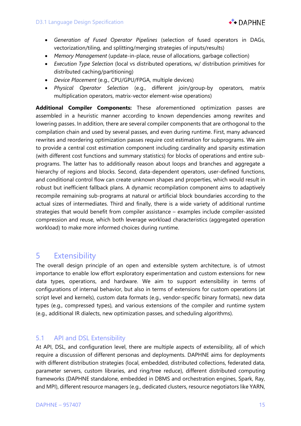

- *Generation of Fused Operator Pipelines* (selection of fused operators in DAGs, vectorization/tiling, and splitting/merging strategies of inputs/results)
- *Memory Management* (update-in-place, reuse of allocations, garbage collection)
- *Execution Type Selection* (local vs distributed operations, w/ distribution primitives for distributed caching/partitioning)
- *Device Placement* (e.g., CPU/GPU/FPGA, multiple devices)
- *Physical Operator Selection* (e.g., different join/group-by operators, matrix multiplication operators, matrix-vector element-wise operations)

**Additional Compiler Components:** These aforementioned optimization passes are assembled in a heuristic manner according to known dependencies among rewrites and lowering passes. In addition, there are several compiler components that are orthogonal to the compilation chain and used by several passes, and even during runtime. First, many advanced rewrites and reordering optimization passes require cost estimation for subprograms. We aim to provide a central cost estimation component including cardinality and sparsity estimation (with different cost functions and summary statistics) for blocks of operations and entire subprograms. The latter has to additionally reason about loops and branches and aggregate a hierarchy of regions and blocks. Second, data-dependent operators, user-defined functions, and conditional control flow can create unknown shapes and properties, which would result in robust but inefficient fallback plans. A dynamic recompilation component aims to adaptively recompile remaining sub-programs at natural or artificial block boundaries according to the actual sizes of intermediates. Third and finally, there is a wide variety of additional runtime strategies that would benefit from compiler assistance – examples include compiler-assisted compression and reuse, which both leverage workload characteristics (aggregated operation workload) to make more informed choices during runtime.

## 5 Extensibility

The overall design principle of an open and extensible system architecture, is of utmost importance to enable low effort exploratory experimentation and custom extensions for new data types, operations, and hardware. We aim to support extensibility in terms of configurations of internal behavior, but also in terms of extensions for custom operations (at script level and kernels), custom data formats (e.g., vendor-specific binary formats), new data types (e.g., compressed types), and various extensions of the compiler and runtime system (e.g., additional IR dialects, new optimization passes, and scheduling algorithms).

#### 5.1 API and DSL Extensibility

At API, DSL, and configuration level, there are multiple aspects of extensibility, all of which require a discussion of different personas and deployments. DAPHNE aims for deployments with different distribution strategies (local, embedded, distributed collections, federated data, parameter servers, custom libraries, and ring/tree reduce), different distributed computing frameworks (DAPHNE standalone, embedded in DBMS and orchestration engines, Spark, Ray, and MPI), different resource managers (e.g., dedicated clusters, resource negotiators like YARN,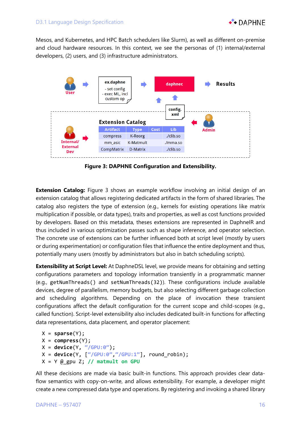

Mesos, and Kubernetes, and HPC Batch schedulers like Slurm), as well as different on-premise and cloud hardware resources. In this context, we see the personas of (1) internal/external developers, (2) users, and (3) infrastructure administrators.



**Figure 3: DAPHNE Configuration and Extensibility.**

**Extension Catalog:** Figure 3 shows an example workflow involving an initial design of an extension catalog that allows registering dedicated artifacts in the form of shared libraries. The catalog also registers the type of extension (e.g., kernels for existing operations like matrix multiplication if possible, or data types), traits and properties, as well as cost functions provided by developers. Based on this metadata, theses extensions are represented in DaphneIR and thus included in various optimization passes such as shape inference, and operator selection. The concrete use of extensions can be further influenced both at script level (mostly by users or during experimentation) or configuration files that influence the entire deployment and thus, potentially many users (mostly by administrators but also in batch scheduling scripts).

**Extensibility at Script Level:** At DaphneDSL level, we provide means for obtaining and setting configurations parameters and topology information transiently in a programmatic manner (e.g., getNumThreads() and setNumThreads(32)). These configurations include available devices, degree of parallelism, memory budgets, but also selecting different garbage collection and scheduling algorithms. Depending on the place of invocation these transient configurations affect the default configuration for the current scope and child-scopes (e.g., called function). Script-level extensibility also includes dedicated built-in functions for affecting data representations, data placement, and operator placement:

```
X = sparse(Y);
 X = compress(Y);
 X = device(Y, "/GPU:0"); 
 X = device(Y, ["/GPU:0","/GPU:1"], round_robin);
X = Y @ gpu Z; // matmult on GPU
```
All these decisions are made via basic built-in functions. This approach provides clear dataflow semantics with copy-on-write, and allows extensibility. For example, a developer might create a new compressed data type and operations. By registering and invoking a shared library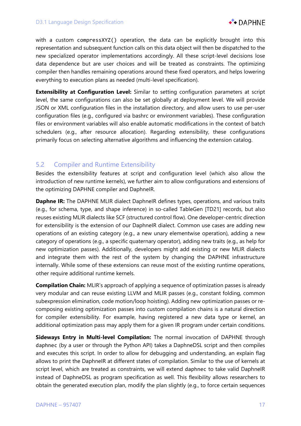

with a custom compressXYZ() operation, the data can be explicitly brought into this representation and subsequent function calls on this data object will then be dispatched to the new specialized operator implementations accordingly. All these script-level decisions lose data dependence but are user choices and will be treated as constraints. The optimizing compiler then handles remaining operations around these fixed operators, and helps lowering everything to execution plans as needed (multi-level specification).

**Extensibility at Configuration Level:** Similar to setting configuration parameters at script level, the same configurations can also be set globally at deployment level. We will provide JSON or XML configuration files in the installation directory, and allow users to use per-user configuration files (e.g., configured via bashrc or environment variables). These configuration files or environment variables will also enable automatic modifications in the context of batch schedulers (e.g., after resource allocation). Regarding extensibility, these configurations primarily focus on selecting alternative algorithms and influencing the extension catalog.

#### 5.2 Compiler and Runtime Extensibility

Besides the extensibility features at script and configuration level (which also allow the introduction of new runtime kernels), we further aim to allow configurations and extensions of the optimizing DAPHNE compiler and DaphneIR.

**Daphne IR:** The DAPHNE MLIR dialect DaphneIR defines types, operations, and various traits (e.g., for schema, type, and shape inference) in so-called TableGen [TD21] records, but also reuses existing MLIR dialects like SCF (structured control flow). One developer-centric direction for extensibility is the extension of our DaphneIR dialect. Common use cases are adding new operations of an existing category (e.g., a new unary elementwise operation), adding a new category of operations (e.g., a specific quaternary operator), adding new traits (e.g., as help for new optimization passes). Additionally, developers might add existing or new MLIR dialects and integrate them with the rest of the system by changing the DAPHNE infrastructure internally. While some of these extensions can reuse most of the existing runtime operations, other require additional runtime kernels.

**Compilation Chain:** MLIR's approach of applying a sequence of optimization passes is already very modular and can reuse existing LLVM and MLIR passes (e.g., constant folding, common subexpression elimination, code motion/loop hoisting). Adding new optimization passes or recomposing existing optimization passes into custom compilation chains is a natural direction for compiler extensibility. For example, having registered a new data type or kernel, an additional optimization pass may apply them for a given IR program under certain conditions.

**Sideways Entry in Multi-level Compilation:** The normal invocation of DAPHNE through daphnec (by a user or through the Python API) takes a DaphneDSL script and then compiles and executes this script. In order to allow for debugging and understanding, an explain flag allows to print the DaphneIR at different states of compilation. Similar to the use of kernels at script level, which are treated as constraints, we will extend daphnec to take valid DaphneIR instead of DaphneDSL as program specification as well. This flexibility allows researchers to obtain the generated execution plan, modify the plan slightly (e.g., to force certain sequences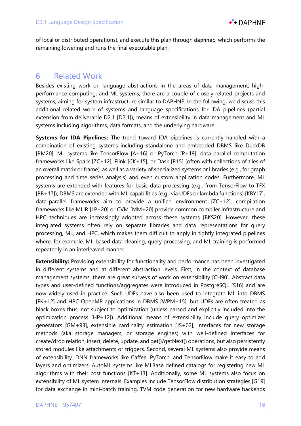

of local or distributed operations), and execute this plan through daphnec, which performs the remaining lowering and runs the final executable plan.

## 6 Related Work

Besides existing work on language abstractions in the areas of data management, highperformance computing, and ML systems, there are a couple of closely related projects and systems, aiming for system infrastructure similar to DAPHNE. In the following, we discuss this additional related work of systems and language specifications for IDA pipelines (partial extension from deliverable D2.1 [D2.1]), means of extensibility in data management and ML systems including algorithms, data formats, and the underlying hardware.

**Systems for IDA Pipelines:** The trend toward IDA pipelines is currently handled with a combination of existing systems including standalone and embedded DBMS like DuckDB [RM20], ML systems like TensorFlow [A+16] or PyTorch [P+19], data-parallel computation frameworks like Spark [ZC+12], Flink [CK+15], or Dask [R15] (often with collections of tiles of an overall matrix or frame), as well as a variety of specialized systems or libraries (e.g., for graph processing and time series analysis) and even custom application codes. Furthermore, ML systems are extended with features for basic data processing (e.g., from TensorFlow to TFX [BB+17]), DBMS are extended with ML capabilities (e.g., via UDFs or lambda functions) [KBY17], data-parallel frameworks aim to provide a unified environment [ZC+12], compilation frameworks like MLIR [LP+20] or CVM [MM+20] provide common compiler infrastructure and HPC techniques are increasingly adopted across these systems [BKS20]. However, these integrated systems often rely on separate libraries and data representations for query processing, ML, and HPC, which makes them difficult to apply in tightly integrated pipelines where, for example, ML-based data cleaning, query processing, and ML training is performed repeatedly in an interleaved manner.

**Extensibility:** Providing extensibility for functionality and performance has been investigated in different systems and at different abstraction levels. First, in the context of database management systems, there are great surveys of work on extensibility [CH90]. Abstract data types and user-defined functions/aggregates were introduced in PostgreSQL [S16] and are now widely used in practice. Such UDFs have also been used to integrate ML into DBMS [FK+12] and HPC OpenMP applications in DBMS [WPM+15], but UDFs are often treated as black boxes thus, not subject to optimization (unless parsed and explicitly included into the optimization process [HP+12]). Additional means of extensibility include query optimizer generators [GM+93], extensible cardinality estimation [JS+02], interfaces for new storage methods (aka storage managers, or storage engines) with well-defined interfaces for create/drop relation, insert, delete, update, and get()/getNext() operations, but also persistently stored modules like attachments or triggers. Second, several ML systems also provide means of extensibility. DNN frameworks like Caffee, PyTorch, and TensorFlow make it easy to add layers and optimizers. AutoML systems like MLBase defined catalogs for registering new ML algorithms with their cost functions [KT+13]. Additionally, some ML systems also focus on extensibility of ML system internals. Examples include TensorFlow distribution strategies [G19] for data exchange in mini-batch training, TVM code generation for new hardware backends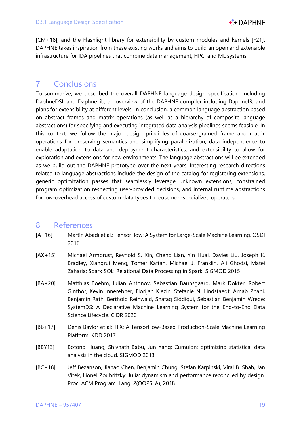

[CM+18], and the Flashlight library for extensibility by custom modules and kernels [F21]. DAPHNE takes inspiration from these existing works and aims to build an open and extensible infrastructure for IDA pipelines that combine data management, HPC, and ML systems.

## 7 Conclusions

To summarize, we described the overall DAPHNE language design specification, including DaphneDSL and DaphneLib, an overview of the DAPHNE compiler including DaphneIR, and plans for extensibility at different levels. In conclusion, a common language abstraction based on abstract frames and matrix operations (as well as a hierarchy of composite language abstractions) for specifying and executing integrated data analysis pipelines seems feasible. In this context, we follow the major design principles of coarse-grained frame and matrix operations for preserving semantics and simplifying parallelization, data independence to enable adaptation to data and deployment characteristics, and extensibility to allow for exploration and extensions for new environments. The language abstractions will be extended as we build out the DAPHNE prototype over the next years. Interesting research directions related to language abstractions include the design of the catalog for registering extensions, generic optimization passes that seamlessly leverage unknown extensions, constrained program optimization respecting user-provided decisions, and internal runtime abstractions for low-overhead access of custom data types to reuse non-specialized operators.

## 8 References

- [A+16] Martín Abadi et al.: TensorFlow: A System for Large-Scale Machine Learning. OSDI 2016
- [AX+15] Michael Armbrust, Reynold S. Xin, Cheng Lian, Yin Huai, Davies Liu, Joseph K. Bradley, Xiangrui Meng, Tomer Kaftan, Michael J. Franklin, Ali Ghodsi, Matei Zaharia: Spark SQL: Relational Data Processing in Spark. SIGMOD 2015
- [BA+20] Matthias Boehm, Iulian Antonov, Sebastian Baunsgaard, Mark Dokter, Robert Ginthör, Kevin Innerebner, Florijan Klezin, Stefanie N. Lindstaedt, Arnab Phani, Benjamin Rath, Berthold Reinwald, Shafaq Siddiqui, Sebastian Benjamin Wrede: SystemDS: A Declarative Machine Learning System for the End-to-End Data Science Lifecycle. CIDR 2020
- [BB+17] Denis Baylor et al: TFX: A TensorFlow-Based Production-Scale Machine Learning Platform. KDD 2017
- [BBY13] Botong Huang, Shivnath Babu, Jun Yang: Cumulon: optimizing statistical data analysis in the cloud. SIGMOD 2013
- [BC+18] Jeff Bezanson, Jiahao Chen, Benjamin Chung, Stefan Karpinski, Viral B. Shah, Jan Vitek, Lionel Zoubritzky: Julia: dynamism and performance reconciled by design. Proc. ACM Program. Lang. 2(OOPSLA), 2018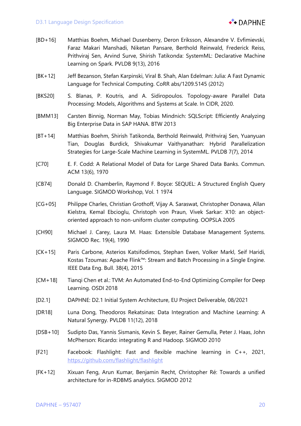

- [BD+16] Matthias Boehm, Michael Dusenberry, Deron Eriksson, Alexandre V. Evfimievski, Faraz Makari Manshadi, Niketan Pansare, Berthold Reinwald, Frederick Reiss, Prithviraj Sen, Arvind Surve, Shirish Tatikonda: SystemML: Declarative Machine Learning on Spark. PVLDB 9(13), 2016
- [BK+12] Jeff Bezanson, Stefan Karpinski, Viral B. Shah, Alan Edelman: Julia: A Fast Dynamic Language for Technical Computing. CoRR abs/1209.5145 (2012)
- [BKS20] S. Blanas, P. Koutris, and A. Sidiropoulos. Topology-aware Parallel Data Processing: Models, Algorithms and Systems at Scale. In CIDR, 2020.
- [BMM13] Carsten Binnig, Norman May, Tobias Mindnich: SQLScript: Efficiently Analyzing Big Enterprise Data in SAP HANA. BTW 2013
- [BT+14] Matthias Boehm, Shirish Tatikonda, Berthold Reinwald, Prithviraj Sen, Yuanyuan Tian, Douglas Burdick, Shivakumar Vaithyanathan: Hybrid Parallelization Strategies for Large-Scale Machine Learning in SystemML. PVLDB 7(7), 2014
- [C70] E. F. Codd: A Relational Model of Data for Large Shared Data Banks. Commun. ACM 13(6), 1970
- [CB74] Donald D. Chamberlin, Raymond F. Boyce: SEQUEL: A Structured English Query Language. SIGMOD Workshop, Vol. 1 1974
- [CG+05] Philippe Charles, Christian Grothoff, Vijay A. Saraswat, Christopher Donawa, Allan Kielstra, Kemal Ebcioglu, Christoph von Praun, Vivek Sarkar: X10: an objectoriented approach to non-uniform cluster computing. OOPSLA 2005
- [CH90] Michael J. Carey, Laura M. Haas: Extensible Database Management Systems. SIGMOD Rec. 19(4), 1990
- [CK+15] Paris Carbone, Asterios Katsifodimos, Stephan Ewen, Volker Markl, Seif Haridi, Kostas Tzoumas: Apache Flink™: Stream and Batch Processing in a Single Engine. IEEE Data Eng. Bull. 38(4), 2015
- [CM+18] Tianqi Chen et al.: TVM: An Automated End-to-End Optimizing Compiler for Deep Learning. OSDI 2018
- [D2.1] DAPHNE: D2.1 Initial System Architecture, EU Project Deliverable, 08/2021
- [DR18] Luna Dong, Theodoros Rekatsinas: Data Integration and Machine Learning: A Natural Synergy. PVLDB 11(12), 2018
- [DSB+10] Sudipto Das, Yannis Sismanis, Kevin S. Beyer, Rainer Gemulla, Peter J. Haas, John McPherson: Ricardo: integrating R and Hadoop. SIGMOD 2010
- [F21] Facebook: Flashlight: Fast and flexible machine learning in C++, 2021, https://github.com/flashlight/flashlight
- [FK+12] Xixuan Feng, Arun Kumar, Benjamin Recht, Christopher Ré: Towards a unified architecture for in-RDBMS analytics. SIGMOD 2012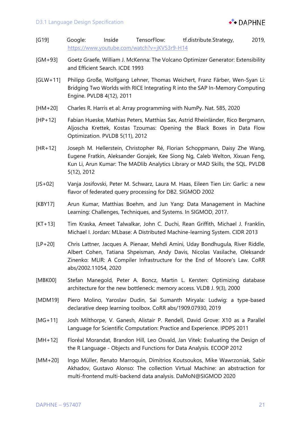- [G19] Google: Inside TensorFlow: tf.distribute.Strategy, 2019, https://www.youtube.com/watch?v=jKV53r9-H14
- [GM+93] Goetz Graefe, William J. McKenna: The Volcano Optimizer Generator: Extensibility and Efficient Search. ICDE 1993
- [GLW+11] Philipp Große, Wolfgang Lehner, Thomas Weichert, Franz Färber, Wen-Syan Li: Bridging Two Worlds with RICE Integrating R into the SAP In-Memory Computing Engine. PVLDB 4(12), 2011
- [HM+20] Charles R. Harris et al: Array programming with NumPy. Nat. 585, 2020
- [HP+12] Fabian Hueske, Mathias Peters, Matthias Sax, Astrid Rheinländer, Rico Bergmann, Aljoscha Krettek, Kostas Tzoumas: Opening the Black Boxes in Data Flow Optimization. PVLDB 5(11), 2012
- [HR+12] Joseph M. Hellerstein, Christopher Ré, Florian Schoppmann, Daisy Zhe Wang, Eugene Fratkin, Aleksander Gorajek, Kee Siong Ng, Caleb Welton, Xixuan Feng, Kun Li, Arun Kumar: The MADlib Analytics Library or MAD Skills, the SQL. PVLDB 5(12), 2012
- [JS+02] Vanja Josifovski, Peter M. Schwarz, Laura M. Haas, Eileen Tien Lin: Garlic: a new flavor of federated query processing for DB2. SIGMOD 2002
- [KBY17] Arun Kumar, Matthias Boehm, and Jun Yang: Data Management in Machine Learning: Challenges, Techniques, and Systems. In SIGMOD, 2017.
- [KT+13] Tim Kraska, Ameet Talwalkar, John C. Duchi, Rean Griffith, Michael J. Franklin, Michael I. Jordan: MLbase: A Distributed Machine-learning System. CIDR 2013
- [LP+20] Chris Lattner, Jacques A. Pienaar, Mehdi Amini, Uday Bondhugula, River Riddle, Albert Cohen, Tatiana Shpeisman, Andy Davis, Nicolas Vasilache, Oleksandr Zinenko: MLIR: A Compiler Infrastructure for the End of Moore's Law. CoRR abs/2002.11054, 2020
- [MBK00] Stefan Manegold, Peter A. Boncz, Martin L. Kersten: Optimizing database architecture for the new bottleneck: memory access. VLDB J. 9(3), 2000
- [MDM19] Piero Molino, Yaroslav Dudin, Sai Sumanth Miryala: Ludwig: a type-based declarative deep learning toolbox. CoRR abs/1909.07930, 2019
- [MG+11] Josh Milthorpe, V. Ganesh, Alistair P. Rendell, David Grove: X10 as a Parallel Language for Scientific Computation: Practice and Experience. IPDPS 2011
- [MH+12] Floréal Morandat, Brandon Hill, Leo Osvald, Jan Vitek: Evaluating the Design of the R Language - Objects and Functions for Data Analysis. ECOOP 2012
- [MM+20] Ingo Müller, Renato Marroquin, Dimitrios Koutsoukos, Mike Wawrzoniak, Sabir Akhadov, Gustavo Alonso: The collection Virtual Machine: an abstraction for multi-frontend multi-backend data analysis. DaMoN@SIGMOD 2020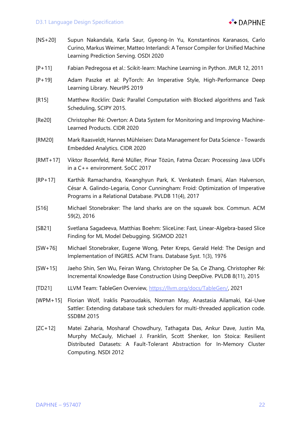

- [NS+20] Supun Nakandala, Karla Saur, Gyeong-In Yu, Konstantinos Karanasos, Carlo Curino, Markus Weimer, Matteo Interlandi: A Tensor Compiler for Unified Machine Learning Prediction Serving. OSDI 2020
- [P+11] Fabian Pedregosa et al.: Scikit-learn: Machine Learning in Python. JMLR 12, 2011
- [P+19] Adam Paszke et al: PyTorch: An Imperative Style, High-Performance Deep Learning Library. NeurIPS 2019
- [R15] Matthew Rocklin: Dask: Parallel Computation with Blocked algorithms and Task Scheduling, SCIPY 2015.
- [Re20] Christopher Ré: Overton: A Data System for Monitoring and Improving Machine-Learned Products. CIDR 2020
- [RM20] Mark Raasveldt, Hannes Mühleisen: Data Management for Data Science Towards Embedded Analytics. CIDR 2020
- [RMT+17] Viktor Rosenfeld, René Müller, Pinar Tözün, Fatma Özcan: Processing Java UDFs in a C++ environment. SoCC 2017
- [RP+17] Karthik Ramachandra, Kwanghyun Park, K. Venkatesh Emani, Alan Halverson, César A. Galindo-Legaria, Conor Cunningham: Froid: Optimization of Imperative Programs in a Relational Database. PVLDB 11(4), 2017
- [S16] Michael Stonebraker: The land sharks are on the squawk box. Commun. ACM 59(2), 2016
- [SB21] Svetlana Sagadeeva, Matthias Boehm: SliceLine: Fast, Linear-Algebra-based Slice Finding for ML Model Debugging. SIGMOD 2021
- [SW+76] Michael Stonebraker, Eugene Wong, Peter Kreps, Gerald Held: The Design and Implementation of INGRES. ACM Trans. Database Syst. 1(3), 1976
- [SW+15] Jaeho Shin, Sen Wu, Feiran Wang, Christopher De Sa, Ce Zhang, Christopher Ré: Incremental Knowledge Base Construction Using DeepDive. PVLDB 8(11), 2015
- [TD21] LLVM Team: TableGen Overview, https://llvm.org/docs/TableGen/, 2021
- [WPM+15] Florian Wolf, Iraklis Psaroudakis, Norman May, Anastasia Ailamaki, Kai-Uwe Sattler: Extending database task schedulers for multi-threaded application code. SSDBM 2015
- [ZC+12] Matei Zaharia, Mosharaf Chowdhury, Tathagata Das, Ankur Dave, Justin Ma, Murphy McCauly, Michael J. Franklin, Scott Shenker, Ion Stoica: Resilient Distributed Datasets: A Fault-Tolerant Abstraction for In-Memory Cluster Computing. NSDI 2012